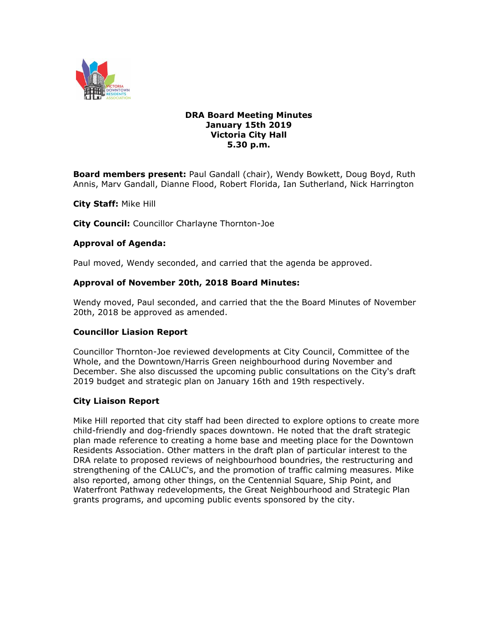

### **DRA Board Meeting Minutes January 15th 2019 Victoria City Hall 5.30 p.m.**

**Board members present:** Paul Gandall (chair), Wendy Bowkett, Doug Boyd, Ruth Annis, Marv Gandall, Dianne Flood, Robert Florida, Ian Sutherland, Nick Harrington

**City Staff:** Mike Hill

**City Council:** Councillor Charlayne Thornton-Joe

#### **Approval of Agenda:**

Paul moved, Wendy seconded, and carried that the agenda be approved.

#### **Approval of November 20th, 2018 Board Minutes:**

Wendy moved, Paul seconded, and carried that the the Board Minutes of November 20th, 2018 be approved as amended.

#### **Councillor Liasion Report**

Councillor Thornton-Joe reviewed developments at City Council, Committee of the Whole, and the Downtown/Harris Green neighbourhood during November and December. She also discussed the upcoming public consultations on the City's draft 2019 budget and strategic plan on January 16th and 19th respectively.

### **City Liaison Report**

Mike Hill reported that city staff had been directed to explore options to create more child-friendly and dog-friendly spaces downtown. He noted that the draft strategic plan made reference to creating a home base and meeting place for the Downtown Residents Association. Other matters in the draft plan of particular interest to the DRA relate to proposed reviews of neighbourhood boundries, the restructuring and strengthening of the CALUC's, and the promotion of traffic calming measures. Mike also reported, among other things, on the Centennial Square, Ship Point, and Waterfront Pathway redevelopments, the Great Neighbourhood and Strategic Plan grants programs, and upcoming public events sponsored by the city.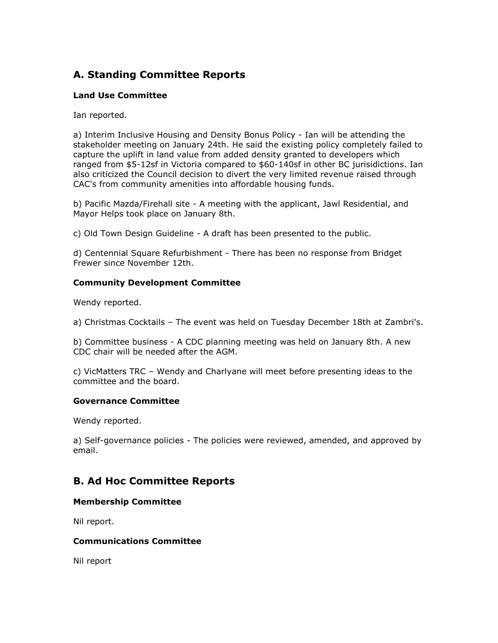# **A. Standing Committee Reports**

## **Land Use Committee**

Ian reported.

a) Interim Inclusive Housing and Density Bonus Policy - Ian will be attending the stakeholder meeting on January 24th. He said the existing policy completely failed to capture the uplift in land value from added density granted to developers which ranged from \$5-12sf in Victoria compared to \$60-140sf in other BC jurisidictions. Ian also criticized the Council decision to divert the very limited revenue raised through CAC's from community amenities into affordable housing funds.

b) Pacific Mazda/Firehall site - A meeting with the applicant, Jawl Residential, and Mayor Helps took place on January 8th.

c) Old Town Design Guideline - A draft has been presented to the public.

d) Centennial Square Refurbishment - There has been no response from Bridget Frewer since November 12th.

## **Community Development Committee**

Wendy reported.

a) Christmas Cocktails – The event was held on Tuesday December 18th at Zambri's.

b) Committee business - A CDC planning meeting was held on January 8th. A new CDC chair will be needed after the AGM.

c) VicMatters TRC – Wendy and Charlyane will meet before presenting ideas to the committee and the board.

## **Governance Committee**

Wendy reported.

a) Self-governance policies - The policies were reviewed, amended, and approved by email.

# **B. Ad Hoc Committee Reports**

### **Membership Committee**

Nil report.

### **Communications Committee**

Nil report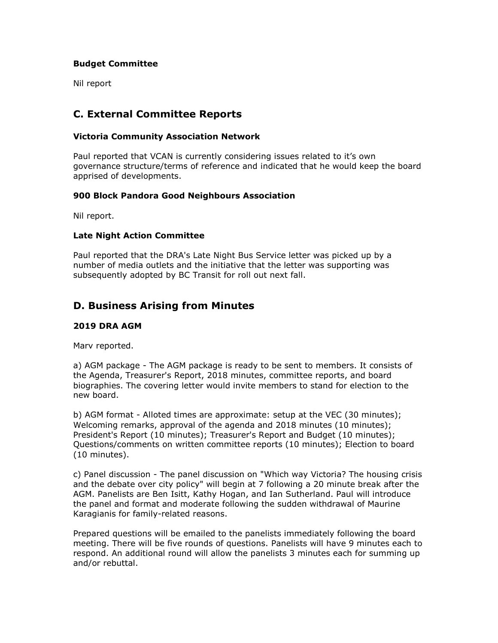## **Budget Committee**

Nil report

## **C. External Committee Reports**

## **Victoria Community Association Network**

Paul reported that VCAN is currently considering issues related to it's own governance structure/terms of reference and indicated that he would keep the board apprised of developments.

## **900 Block Pandora Good Neighbours Association**

Nil report.

## **Late Night Action Committee**

Paul reported that the DRA's Late Night Bus Service letter was picked up by a number of media outlets and the initiative that the letter was supporting was subsequently adopted by BC Transit for roll out next fall.

## **D. Business Arising from Minutes**

### **2019 DRA AGM**

Marv reported.

a) AGM package - The AGM package is ready to be sent to members. It consists of the Agenda, Treasurer's Report, 2018 minutes, committee reports, and board biographies. The covering letter would invite members to stand for election to the new board.

b) AGM format - Alloted times are approximate: setup at the VEC (30 minutes); Welcoming remarks, approval of the agenda and 2018 minutes (10 minutes); President's Report (10 minutes); Treasurer's Report and Budget (10 minutes); Questions/comments on written committee reports (10 minutes); Election to board (10 minutes).

c) Panel discussion - The panel discussion on "Which way Victoria? The housing crisis and the debate over city policy" will begin at 7 following a 20 minute break after the AGM. Panelists are Ben Isitt, Kathy Hogan, and Ian Sutherland. Paul will introduce the panel and format and moderate following the sudden withdrawal of Maurine Karagianis for family-related reasons.

Prepared questions will be emailed to the panelists immediately following the board meeting. There will be five rounds of questions. Panelists will have 9 minutes each to respond. An additional round will allow the panelists 3 minutes each for summing up and/or rebuttal.